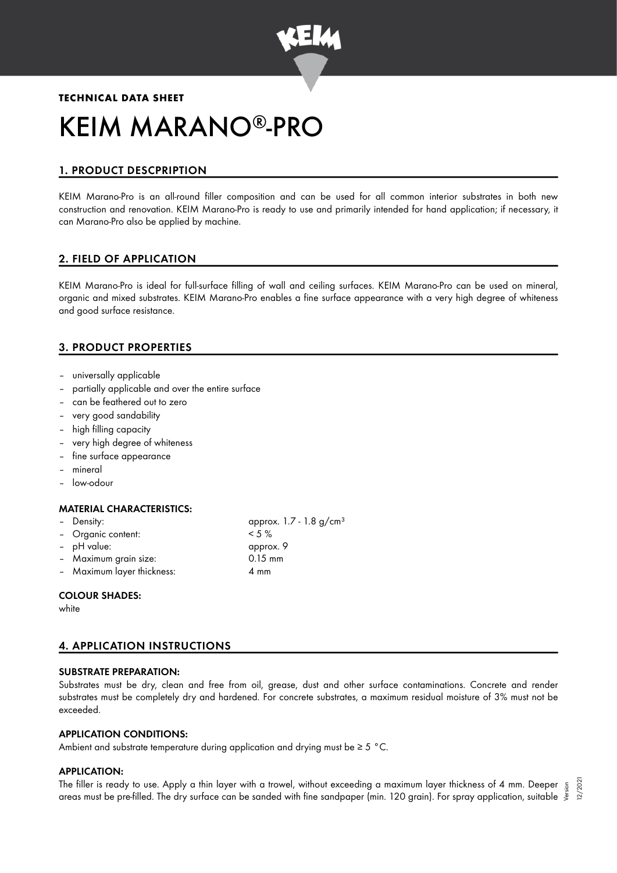

# **TECHNICAL DATA SHEET** KEIM MARANO®-PRO

# 1. PRODUCT DESCPRIPTION

KEIM Marano-Pro is an all-round filler composition and can be used for all common interior substrates in both new construction and renovation. KEIM Marano-Pro is ready to use and primarily intended for hand application; if necessary, it can Marano-Pro also be applied by machine.

# 2. FIELD OF APPLICATION

KEIM Marano-Pro is ideal for full-surface filling of wall and ceiling surfaces. KEIM Marano-Pro can be used on mineral, organic and mixed substrates. KEIM Marano-Pro enables a fine surface appearance with a very high degree of whiteness and good surface resistance.

# 3. PRODUCT PROPERTIES

- universally applicable
- partially applicable and over the entire surface
- can be feathered out to zero
- very good sandability
- high filling capacity
- very high degree of whiteness
- fine surface appearance
- mineral
- low-odour

## MATERIAL CHARACTERISTICS:

- Density: approx. 1.7 1.8 g/cm<sup>3</sup>
- Organic content: < 5 %
- pH value: approx. 9
- Maximum grain size: 0.15 mm
- Maximum layer thickness: 4 mm

## COLOUR SHADES:

white

# 4. APPLICATION INSTRUCTIONS

## SUBSTRATE PREPARATION:

Substrates must be dry, clean and free from oil, grease, dust and other surface contaminations. Concrete and render substrates must be completely dry and hardened. For concrete substrates, a maximum residual moisture of 3% must not be exceeded.

# APPLICATION CONDITIONS:

Ambient and substrate temperature during application and drying must be ≥ 5 °C.

## APPLICATION:

The filler is ready to use. Apply a thin layer with a trowel, without exceeding a maximum layer thickness of 4 mm. Deeper The filler is ready to use. Apply a thin layer with a trowel, without exceeding a maximum layer thickness of 4 mm. Deeper  $\frac{5}{8}$ <br>areas must be pre-filled. The dry surface can be sanded with fine sandpaper (min. 120 grai 12/2021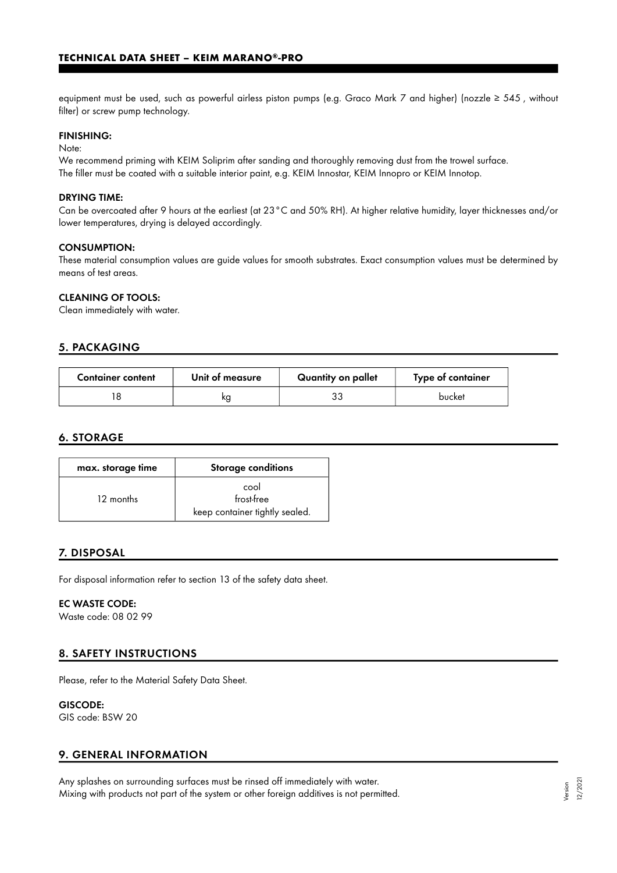equipment must be used, such as powerful airless piston pumps (e.g. Graco Mark 7 and higher) (nozzle ≥ 545 , without filter) or screw pump technology.

## FINISHING:

Note:

We recommend priming with KEIM Soliprim after sanding and thoroughly removing dust from the trowel surface. The filler must be coated with a suitable interior paint, e.g. KEIM Innostar, KEIM Innopro or KEIM Innotop.

#### DRYING TIME:

Can be overcoated after 9 hours at the earliest (at 23°C and 50% RH). At higher relative humidity, layer thicknesses and/or lower temperatures, drying is delayed accordingly.

#### CONSUMPTION:

These material consumption values are guide values for smooth substrates. Exact consumption values must be determined by means of test areas.

## CLEANING OF TOOLS:

Clean immediately with water.

## 5. PACKAGING

| <b>Container content</b> | Unit of measure | Quantity on pallet | Type of container |
|--------------------------|-----------------|--------------------|-------------------|
|                          | κg              | ົ                  | bucket            |

# 6. STORAGE

| max. storage time | <b>Storage conditions</b>                            |  |
|-------------------|------------------------------------------------------|--|
| 12 months         | cool<br>frost-free<br>keep container tightly sealed. |  |

## 7. DISPOSAL

For disposal information refer to section 13 of the safety data sheet.

## EC WASTE CODE:

Waste code: 08 02 99

# 8. SAFETY INSTRUCTIONS

Please, refer to the Material Safety Data Sheet.

#### GISCODE:

GIS code: BSW 20

# 9. GENERAL INFORMATION

Any splashes on surrounding surfaces must be rinsed off immediately with water. Mixing with products not part of the system or other foreign additives is not permitted.